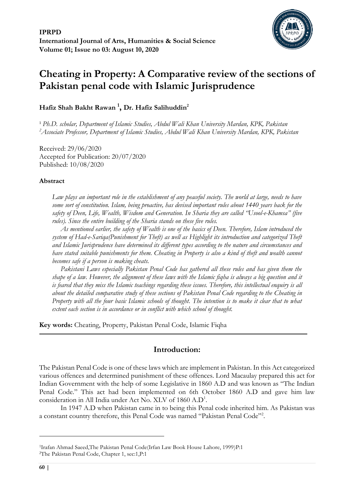

# **Cheating in Property: A Comparative review of the sections of Pakistan penal code with Islamic Jurisprudence**

# **Hafiz Shah Bakht Rawan <sup>1</sup> , Dr. Hafiz Salihuddin<sup>2</sup>**

<sup>1</sup> *Ph.D. scholar, Department of Islamic Studies, Abdul Wali Khan University Mardan, KPK, Pakistan <sup>2</sup>Associate Professor, Department of Islamic Studies, Abdul Wali Khan University Mardan, KPK, Pakistan*

Received: 29/06/2020 Accepted for Publication: 20/07/2020 Published: 10/08/2020

# **Abstract**

*Law plays an important role in the establishment of any peaceful society. The world at large, needs to have some sort of constitution. Islam, being proactive, has devised important rules about 1440 years back for the safety of Deen, Life, Wealth, Wisdom and Generation. In Sharia they are called "Usool-e-Khamsa" (five rules). Since the entire building of the Sharia stands on these five rules.* 

*As mentioned earlier, the safety of Wealth is one of the basics of Deen. Therefore, Islam introduced the system of Had-e-Sariqa(Punishment for Theft) as well as Highlight its introduction and categorized Theft and Islamic Jurisprudence have determined its different types according to the nature and circumstances and have stated suitable punishments for them. Cheating in Property is also a kind of theft and wealth cannot becomes safe if a person is making cheats.* 

*Pakistani Laws especially Pakistan Penal Code has gathered all these rules and has given them the shape of a law. However, the alignment of these laws with the Islamic fiqha is always a big question and it is feared that they miss the Islamic teachings regarding these issues. Therefore, this intellectual enquiry is all about the detailed comparative study of these sections of Pakistan Penal Code regarding to the Cheating in Property with all the four basic Islamic schools of thought. The intention is to make it clear that to what extent each section is in accordance or in conflict with which school of thought.*

**Key words:** Cheating, Property, Pakistan Penal Code, Islamic Fiqha

# **Introduction:**

The Pakistan Penal Code is one of these laws which are implement in Pakistan. In this Act categorized various offences and determined punishment of these offences. Lord Macaulay prepared this act for Indian Government with the help of some Legislative in 1860 A.D and was known as "The Indian Penal Code." This act had been implemented on 6th October 1860 A.D and gave him law consideration in All India under Act No. XLV of 1860 A.D<sup>1</sup> .

In 1947 A.D when Pakistan came in to being this Penal code inherited him. As Pakistan was a constant country therefore, this Penal Code was named "Pakistan Penal Code"<sup>2</sup>.

<sup>1</sup>Irafan Ahmad Saeed,The Pakistan Penal Code(Irfan Law Book House Lahore, 1999)P:1 2The Pakistan Penal Code, Chapter 1, sec:1,P:1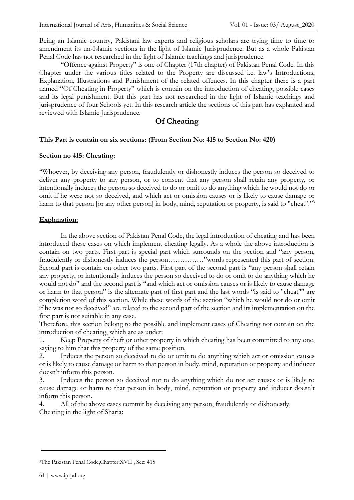Being an Islamic country, Pakistani law experts and religious scholars are trying time to time to amendment its un-Islamic sections in the light of Islamic Jurisprudence. But as a whole Pakistan Penal Code has not researched in the light of Islamic teachings and jurisprudence.

"Offence against Property" is one of Chapter (17th chapter) of Pakistan Penal Code. In this Chapter under the various titles related to the Property are discussed i.e. law's Introductions, Explanation, Illustrations and Punishment of the related offences. In this chapter there is a part named "Of Cheating in Property" which is contain on the introduction of cheating, possible cases and its legal punishment. But this part has not researched in the light of Islamic teachings and jurisprudence of four Schools yet. In this research article the sections of this part has explanted and reviewed with Islamic Jurisprudence.

# **Of Cheating**

# **This Part is contain on six sections: (From Section No: 415 to Section No: 420)**

#### **Section no 415: Cheating:**

''Whoever, by deceiving any person, fraudulently or dishonestly induces the person so deceived to deliver any property to any person, or to consent that any person shall retain any property, or intentionally induces the person so deceived to do or omit to do anything which he would not do or omit if he were not so deceived, and which act or omission causes or is likely to cause damage or harm to that person [or any other person] in body, mind, reputation or property, is said to "cheat"."<sup>3</sup>

#### **Explanation:**

In the above section of Pakistan Penal Code, the legal introduction of cheating and has been introduced these cases on which implement cheating legally. As a whole the above introduction is contain on two parts. First part is special part which surrounds on the section and "any person, fraudulently or dishonestly induces the person……………"words represented this part of section. Second part is contain on other two parts. First part of the second part is "any person shall retain any property, or intentionally induces the person so deceived to do or omit to do anything which he would not do" and the second part is "and which act or omission causes or is likely to cause damage or harm to that person" is the alternate part of first part and the last words "is said to "cheat"" are completion word of this section. While these words of the section "which he would not do or omit if he was not so deceived" are related to the second part of the section and its implementation on the first part is not suitable in any case.

Therefore, this section belong to the possible and implement cases of Cheating not contain on the introduction of cheating, which are as under:

1. Keep Property of theft or other property in which cheating has been committed to any one, saying to him that this property of the same position.

2. Induces the person so deceived to do or omit to do anything which act or omission causes or is likely to cause damage or harm to that person in body, mind, reputation or property and inducer doesn't inform this person.

3. Induces the person so deceived not to do anything which do not act causes or is likely to cause damage or harm to that person in body, mind, reputation or property and inducer doesn't inform this person.

4. All of the above cases commit by deceiving any person, fraudulently or dishonestly. Cheating in the light of Sharia:

<sup>3</sup>The Pakistan Penal Code,Chapter:XVII , Sec: 415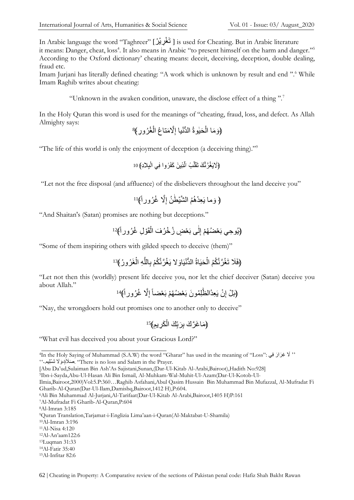In Arabic language the word "Taghreer" [ تَغْرِيْرٌ ] is used for Cheating. But in Arabic literature it means: Danger, cheat, loss<sup>4</sup>. It also means in Arabic "to present himself on the harm and danger."<sup>5</sup> According to the Oxford dictionary' cheating means: deceit, deceiving, deception, double dealing, fraud etc.

Imam Jurjani has literally defined cheating: "A work which is unknown by result and end ".<sup>6</sup> While Imam Raghib writes about cheating:

"Unknown in the awaken condition, unaware, the disclose effect of a thing ".<sup>7</sup>

In the Holy Quran this word is used for the meanings of "cheating, fraud, loss, and defect. As Allah Almighty says:

$$
\{\epsilon\}
$$
تَنَّا أُلُحَيِوَةُ الَدُّنُيًا إِلَّاّمَتَاعُّ اُلُغُرُ ورِ }

"The life of this world is only the enjoyment of deception (a deceiving thing)."<sup>9</sup>

10

"Let not the free disposal (and affluence) of the disbelievers throughout the land deceive you"

ِ **﴿** اَّل ُغ ُرورا ٰط ُن إ َوما یَ ِعدُ ُه ُم ال اشْي **﴾** 11

"And Shaitan's (Satan) promises are nothing but deceptions."

ْو ِل ُغ ُرورا **﴾**<sup>12</sup> قَ ْ ٰى بَ ْع ٍض ُز ْخ ُر َف ال ل ِ **﴿**یُو ِحي بَ ْع ُض ُهْم إ

"Some of them inspiring others with gilded speech to deceive (them)"

$$
(éK̃نَّنُرَّنَّكُمُ الُّحَيَاهُّ الُدُّنُيَاوَ ۷ يَغُرَّنَّكُمْ بِاللَّهِ الُغَرُورُ }13(
$$

"Let not then this (worldly) present life deceive you, nor let the chief deceiver (Satan) deceive you about Allah."

$$
\left\{i\right\}
$$
بَلُّ إِنُ يَعِدُالظِّلِمُونَ بَعُضُهُمْ بَعُضًا إِلَّا عُرُور أَهُ<sup>14</sup>

"Nay, the wrongdoers hold out promises one to another only to deceive"

$$
^{15} \left( \frac{\Delta}{\Delta} \right)
$$
لَا

"What evil has deceived you about your Gracious Lord?"

5Ibn-i-Sayda,Abu-Ul-Hasan Ali Bin Ismail, Al-Muhkam-Wal-Muhit-Ul-Azam(Dar-Ul-Kotob-Ul-

<sup>7</sup>Al-Mufradat Fi Gharib-Al-Quran,P:604

<sup>8</sup>Al-Imran 3:185

- <sup>12</sup>Al-An'aam122:6 <sup>13</sup>Luqman 31:33
- <sup>14</sup>Al-Fatir 35:40

<sup>4</sup>In the Holy Saying of Muhammad (S.A.W) the word "Gharar" has used in the meaning of "Loss": يِف رَ '' ََّل ِغ َرا َوََّل تَ ْسِليم۔ َص '' ََلٍة، . "There is no loss and Salam in the Prayer.

<sup>[</sup>Abu Da'ud,Sulaiman Bin Ash'As Sajistani,Sunan,(Dar-Ul-Kitab Al-Arabi,Bairoot),Hadith No:928]

Ilmia,Bairoot,2000)Vol:5.P:360…Raghib Asfahani,Abul Qasim Hussain Bin Muhammad Bin Mufazzal, Al-Mufradat Fi Gharib-Al-Quran(Dar-Ul-Ilam,Damishq,Bairoot,1412 H),P:604.

<sup>6</sup>Ali Bin Muhammad Al-Jurjani,Al-Tarifaat(Dar-Ul-Kitab Al-Arabi,Bairoot,1405 H)P:161

<sup>9</sup>Quran Translation,Tarjamat-i-Englizia Lima'aan-i-Quran(Al-Maktabat-U-Shamila)

<sup>10</sup>Al-Imran 3:196

<sup>11</sup>Al-Nisa 4:120

<sup>15</sup>Al-Infitar 82:6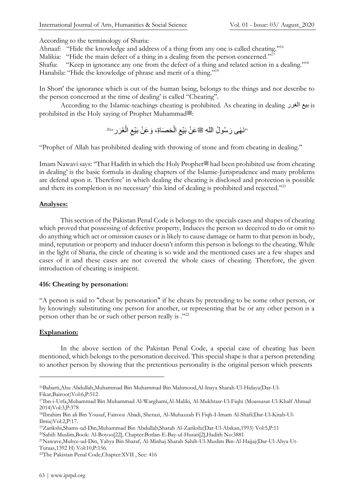According to the terminology of Sharia:

Ahnaaf: "Hide the knowledge and address of a thing from any one is called cheating.''<sup>16</sup>

Malikia: "Hide the main defect of a thing in a dealing from the person concerned."<sup>17</sup>

Shafia: "Keep in ignorance any one from the defect of a thing and related action in a dealing."<sup>18</sup> Hanabila: "Hide the knowledge of phrase and merit of a thing."<sup>19</sup>

In Short' the ignorance which is out of the human being, belongs to the things and not describe to the person concerned at the time of dealing' is called "Cheating''.

According to the Islamic-teachings cheating is prohibited. As cheating in dealing الغرر بيع is prohibited in the Holy saying of Prophet Muhammad.

20 َرر" غَ ْ ال ِ َو َع ْن بَْيع َح َصاة،ِ ْ ال ِ "نَ ٰهى َر ُسو ُل الل ِه صلى الله عليه وسلم َع ْن بَ ْيع

"Prophet of Allah has prohibited dealing with throwing of stone and from cheating in dealing.''

Imam Nawavi says: "That Hadith in which the Holy Prophet." had been prohibited use from cheating in dealing' is the basic formula in dealing chapters of the Islamic-Jurisprudence and many problems are defend upon it. Therefore' in which dealing the cheating is disclosed and protection is possible and there its completion is no necessary' this kind of dealing is prohibited and rejected."<sup>21</sup>

# **Analyses:**

This section of the Pakistan Penal Code is belongs to the specials cases and shapes of cheating which proved that possessing of defective property, Induces the person so deceived to do or omit to do anything which act or omission causes or is likely to cause damage or harm to that person in body, mind, reputation or property and inducer doesn't inform this person is belongs to the cheating. While in the light of Sharia, the circle of cheating is so wide and the mentioned cases are a few shapes and cases of it and these cases are not covered the whole cases of cheating. Therefore, the given introduction of cheating is insipient.

# **416: Cheating by personation:**

"A person is said to "cheat by personation" if he cheats by pretending to be some other person, or by knowingly substituting one person for another, or representing that he or any other person is a person other than he or such other person really is .''<sup>22</sup>

# **Explanation:**

In the above section of the Pakistan Penal Code, a special case of cheating has been mentioned, which belongs to the personation deceived. This special shape is that a person pretending to another person by showing that the pretentious personality is the original person which presents

<sup>20</sup>Sahih Muslim,Book: Al-Boyoo[22], Chapter:Botlan-E-Bay-ul-Husati[2],Hadith No:3881

<sup>16</sup>Babarti,Abu Abdullah,Muhammad Bin Muhammad Bin Mahmood,Al-Inaya Sharah-Ul-Hidaya(Dar-Ul-Fikar,Bairoot)Vol:6,P:512.

<sup>17</sup>Ibn-i-Urfa,Muhammad Bin Muhammad Al-Warghami,Al-Maliki, Al-Mukhtasr-Ul-Fiqhi (Moassasat-Ul-Khalf Ahmad 2014)Vol:3,P:378

<sup>18</sup>Ibrahim Bin ali Bin Yousaf, Fairooz Abadi, Sherazi, Al-Muhazzab Fi Fiqh-I-Imam Al-Shafi(Dar-Ul-Kitab-Ul-Ilmia)Vol:2,P:17.

<sup>19</sup>Zarikshi,Shams-ud-Din,Muhammad Bin Abdullah,Sharah Al-Zarikshi(Dar-Ul-Abikan,1993) Vol:5,P:11

<sup>21</sup>Nawave,Muhye-ud-Din, Yahya Bin Sharaf, Al-Minhaj Sharah Sahih-Ul-Muslim Bin-Al-Hajjaj(Dar-Ul-Ahya-Ut-Turaas,1392 H) Vol:10,P:156.

<sup>22</sup>The Pakistan Penal Code,Chapter:XVII , Sec: 416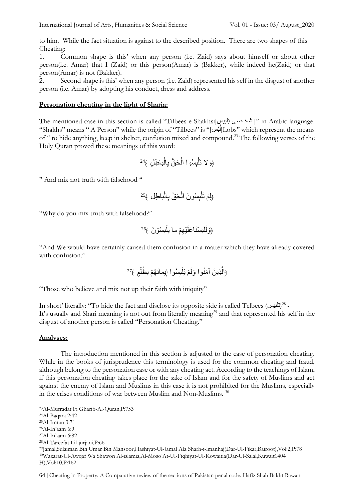to him. While the fact situation is against to the described position. There are two shapes of this Cheating:

1. Common shape is this' when any person (i.e. Zaid) says about himself or about other person(i.e. Amar) that I (Zaid) or this person(Amar) is (Bakker), while indeed he(Zaid) or that person(Amar) is not (Bakker).

2. Second shape is this' when any person (i.e. Zaid) represented his self in the disgust of another person (i.e. Amar) by adopting his conduct, dress and address.

#### **Personation cheating in the light of Sharia:**

The mentioned case in this section is called "Tilbees-e-Shakhsi<sup>[</sup>]" in Arabic language. "Shakhs'' means " A Person" while the origin of "Tilbees" is "[لتُ س[Lobs'' which represent the means ْ of " to hide anything, keep in shelter, confusion mixed and compound. <sup>23</sup> The following verses of the Holy Quran proved these meanings of this word:

با ِط ِل ﴾<sup>24</sup> ْ ِال َح اق ب ْ ِ ُسوا ال ب ْ َوَّل تَل ﴿

'' And mix not truth with falsehood ''

با ِط ِل ﴾<sup>25</sup> ْ ِال َح اق ب ْ ِ ُسو َن ال ب ْ تَل َ ﴿ِلم

"Why do you mix truth with falsehood?"

$$
(e^{i\pi\lambda^2})
$$
وَ أَلَّبِسُوُنَ

"And We would have certainly caused them confusion in a matter which they have already covered with confusion."

$$
\frac{27}{3}
$$
مَنُوَّا وَلَمْ يَلْبِسُوا إِيمائَهُمْ بِظُلُّمِ  $\frac{27}{3}$ 

"Those who believe and mix not up their faith with iniquity"

In short' literally: "To hide the fact and disclose its opposite side is called Telbees (تلبيس)<sup>28</sup> -It's usually and Shari meaning is not out from literally meaning<sup>29</sup> and that represented his self in the disgust of another person is called "Personation Cheating."

# **Analyses:**

The introduction mentioned in this section is adjusted to the case of personation cheating. While in the books of jurisprudence this terminology is used for the common cheating and fraud, although belong to the personation case or with any cheating act. According to the teachings of Islam, if this personation cheating takes place for the sake of Islam and for the safety of Muslims and act against the enemy of Islam and Muslims in this case it is not prohibited for the Muslims, especially in the crises conditions of war between Muslim and Non-Muslims.<sup>30</sup>

-

- <sup>27</sup>Al-In'aam 6:82
- <sup>28</sup>Al-Tareefat Lil-jurjani,P:66

64 | Cheating in Property: A Comparative review of the sections of Pakistan penal code: Hafiz Shah Bakht Rawan

<sup>23</sup>Al-Mufradat Fi Gharib-Al-Quran,P:753

<sup>24</sup>Al-Baqara 2:42

<sup>25</sup>Al-Imran 3:71

<sup>26</sup>Al-In'aam 6:9

<sup>29</sup>Jamal,Sulaiman Bin Umar Bin Mansoor,Hashiyat-Ul-Jamal Ala Sharh-i-lmanhaj(Dar-Ul-Fikar,Bairoot),Vol:2,P:78 <sup>30</sup>Wazarat-Ul-Awqaf Wa Shawon Al-islamia,Al-Moso'At-Ul-Fiqhiyat-Ul-Kowaitia(Dar-Ul-Salal,Kuwait1404 H),Vol:10,P:162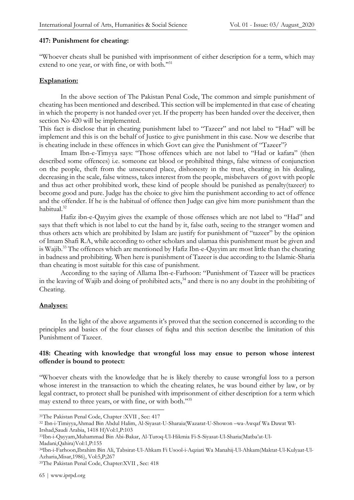# **417: Punishment for cheating:**

''Whoever cheats shall be punished with imprisonment of either description for a term, which may extend to one year, or with fine, or with both."31

#### **Explanation:**

In the above section of The Pakistan Penal Code, The common and simple punishment of cheating has been mentioned and described. This section will be implemented in that case of cheating in which the property is not handed over yet. If the property has been handed over the deceiver, then section No 420 will be implemented.

This fact is disclose that in cheating punishment label to "Tazeer" and not label to "Had" will be implement and this is on the behalf of Justice to give punishment in this case. Now we describe that is cheating include in these offences in which Govt can give the Punishment of "Tazeer"?

Imam Ibn-e-Timyya says: "Those offences which are not label to "Had or kafara" (then described some offences) i.e. someone eat blood or prohibited things, false witness of conjunction on the people, theft from the unsecured place, dishonesty in the trust, cheating in his dealing, decreasing in the scale, false witness, takes interest from the people, misbehavers of govt with people and thus act other prohibited work, these kind of people should be punished as penalty(tazeer) to become good and pure. Judge has the choice to give him the punishment according to act of offence and the offender. If he is the habitual of offence then Judge can give him more punishment than the habitual. 32

Hafiz ibn-e-Qayyim gives the example of those offenses which are not label to "Had" and says that theft which is not label to cut the hand by it, false oath, seeing to the stranger women and thus others acts which are prohibited by Islam are justify for punishment of "tazeer" by the opinion of Imam Shafi R.A, while according to other scholars and ulamaa this punishment must be given and is Wajib. <sup>33</sup> The offences which are mentioned by Hafiz Ibn-e-Qayyim are most little than the cheating in badness and prohibiting. When here is punishment of Tazeer is due according to the Islamic-Sharia than cheating is most suitable for this case of punishment.

According to the saying of Allama Ibn-e-Farhoon: "Punishment of Tazeer will be practices in the leaving of Wajib and doing of prohibited acts,<sup>34</sup> and there is no any doubt in the prohibiting of Cheating.

# **Analyses:**

In the light of the above arguments it's proved that the section concerned is according to the principles and basics of the four classes of fiqha and this section describe the limitation of this Punishment of Tazeer.

# **418: Cheating with knowledge that wrongful loss may ensue to person whose interest offender is bound to protect:**

''Whoever cheats with the knowledge that he is likely thereby to cause wrongful loss to a person whose interest in the transaction to which the cheating relates, he was bound either by law, or by legal contract, to protect shall be punished with imprisonment of either description for a term which may extend to three years, or with fine, or with both."35

Madani,Qahira)Vol:1,P:155

<sup>31</sup>The Pakistan Penal Code, Chapter :XVII , Sec: 417

<sup>32</sup> Ibn-i-Timiyya,Ahmad Bin Abdul Halim, Al-Siyasat-U-Sharaia(Wazarat-U-Showon –wa-Awqaf Wa Dawat Wl-Irshad,Saudi Arabia, 1418 H)Vol:1,P:103

<sup>33</sup>Ibn-i-Qayyam,Muhammad Bin Abi-Bakar, Al-Turoq-Ul-Hikmia Fi-S-Siyasat-Ul-Sharia(Matba'at-Ul-

<sup>34</sup>Ibn-i-Farhoon,Ibrahim Bin Ali, Tabsirat-Ul-Ahkam Fi Usool-i-Aqziati Wa Manahij-Ul-Ahkam(Maktat-Ul-Kulyaat-Ul-Azharia,Misar,1986), Vol:5,P;267

<sup>35</sup>The Pakistan Penal Code, Chapter:XVII , Sec: 418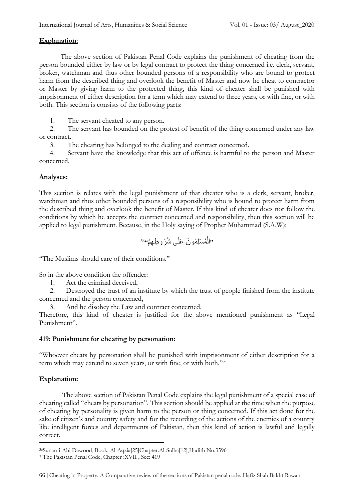#### **Explanation:**

The above section of Pakistan Penal Code explains the punishment of cheating from the person bounded either by law or by legal contract to protect the thing concerned i.e. clerk, servant, broker, watchman and thus other bounded persons of a responsibility who are bound to protect harm from the described thing and overlook the benefit of Master and now he cheat to contractor or Master by giving harm to the protected thing, this kind of cheater shall be punished with imprisonment of either description for a term which may extend to three years, or with fine, or with both. This section is consists of the following parts:

1. The servant cheated to any person.

 2. The servant has bounded on the protest of benefit of the thing concerned under any law or contract.

3. The cheating has belonged to the dealing and contract concerned.

 4. Servant have the knowledge that this act of offence is harmful to the person and Master concerned.

#### **Analyses:**

This section is relates with the legal punishment of that cheater who is a clerk, servant, broker, watchman and thus other bounded persons of a responsibility who is bound to protect harm from the described thing and overlook the benefit of Master. If this kind of cheater does not follow the conditions by which he accepts the contract concerned and responsibility, then this section will be applied to legal punishment. Because, in the Holy saying of Prophet Muhammad (S.A.W):

36 ُم ْسِل ُمو َن َعلَى ُش ُرو ِط ِهْم" ْ "اَل

"The Muslims should care of their conditions."

So in the above condition the offender:

1. Act the criminal deceived,

 2. Destroyed the trust of an institute by which the trust of people finished from the institute concerned and the person concerned,

3. And he disobey the Law and contract concerned.

Therefore, this kind of cheater is justified for the above mentioned punishment as "Legal Punishment".

#### **419: Punishment for cheating by personation:**

''Whoever cheats by personation shall be punished with imprisonment of either description for a term which may extend to seven years, or with fine, or with both."37

# **Explanation:**

The above section of Pakistan Penal Code explains the legal punishment of a special case of cheating called "cheats by personation". This section should be applied at the time when the purpose of cheating by personality is given harm to the person or thing concerned. If this act done for the sake of citizen's and country safety and for the recording of the actions of the enemies of a country like intelligent forces and departments of Pakistan, then this kind of action is lawful and legally correct.

<sup>36</sup>Sunan-i-Abi Dawood, Book: Al-Aqzia[25]Chapter:Al-Sulha[12],Hadith No:3596

<sup>37</sup>The Pakistan Penal Code, Chapter :XVII , Sec: 419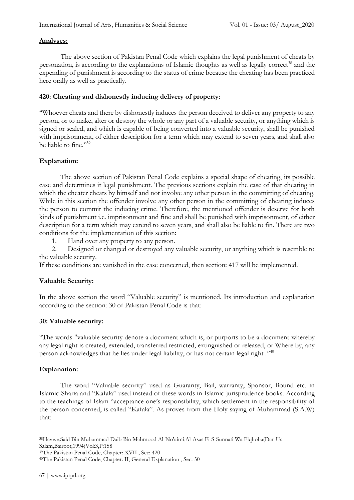#### **Analyses:**

The above section of Pakistan Penal Code which explains the legal punishment of cheats by personation, is according to the explanations of Islamic thoughts as well as legally correct<sup>38</sup> and the expending of punishment is according to the status of crime because the cheating has been practiced here orally as well as practically.

# **420: Cheating and dishonestly inducing delivery of property:**

''Whoever cheats and there by dishonestly induces the person deceived to deliver any property to any person, or to make, alter or destroy the whole or any part of a valuable security, or anything which is signed or sealed, and which is capable of being converted into a valuable security, shall be punished with imprisonment, of either description for a term which may extend to seven years, and shall also be liable to fine."39

# **Explanation:**

The above section of Pakistan Penal Code explains a special shape of cheating, its possible case and determines it legal punishment. The previous sections explain the case of that cheating in which the cheater cheats by himself and not involve any other person in the committing of cheating. While in this section the offender involve any other person in the committing of cheating induces the person to commit the inducing crime. Therefore, the mentioned offender is deserve for both kinds of punishment i.e. imprisonment and fine and shall be punished with imprisonment, of either description for a term which may extend to seven years, and shall also be liable to fin. There are two conditions for the implementation of this section:

1. Hand over any property to any person.

 2. Designed or changed or destroyed any valuable security, or anything which is resemble to the valuable security.

If these conditions are vanished in the case concerned, then section: 417 will be implemented.

#### **Valuable Security:**

In the above section the word "Valuable security" is mentioned. Its introduction and explanation according to the section: 30 of Pakistan Penal Code is that:

#### **30: Valuable security:**

''The words "valuable security denote a document which is, or purports to be a document whereby any legal right is created, extended, transferred restricted, extinguished or released, or Where by, any person acknowledges that he lies under legal liability, or has not certain legal right .''<sup>40</sup>

# **Explanation:**

The word "Valuable security" used as Guaranty, Bail, warranty, Sponsor, Bound etc. in Islamic-Sharia and "Kafala" used instead of these words in Islamic-jurisprudence books. According to the teachings of Islam "acceptance one's responsibility, which settlement in the responsibility of the person concerned, is called "Kafala". As proves from the Holy saying of Muhammad (S.A.W) that:

<sup>38</sup>Havwe,Said Bin Muhammad Daib Bin Mahmood Al-No'aimi,Al-Asas Fi-S-Sunnati Wa Fiqhoha(Dar-Us-Salam,Bairoot,1994)Vol:3,P:158

<sup>39</sup>The Pakistan Penal Code, Chapter: XVII , Sec: 420

<sup>40</sup>The Pakistan Penal Code, Chapter: II, General Explanation , Sec: 30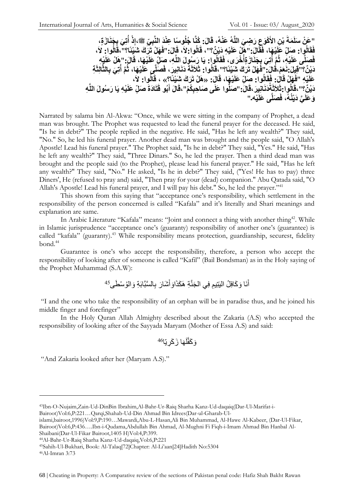"عَنْ سَلَمَةَ بْنِ الأَكْوَعِ رَضِيَ اللَّهُ عَنْهُ، قَالَ: كُنَّا جُلُوساً عِنْدَ النَّبِيِّ ﷺ،إِذْ أَتِيَ بِجَذَارَةٍ،<br>يَسَمُّ سَبَبَتِ بِجَمَّدٍ وَجَمَّدٍ وَجَمَّدٍ وَجَمَعَ اللَّهُ عَنْهُ وَ قَبْلَ النَّاسِيِّ وَ الْ **ِ ُ** فَقَالُوا: صَلِّ عَلَيْهَا، فَقَالَ: "هَلْ عَلَيْهِ دَيْنٌ؟"، قَالُوا: لاَ، قَالَ: "فَهَلْ تَرَكَ شَيْئًا؟"،قَالُوا: لاَ، فَصَلِّي عَلَيْهِ، ثُمَّ أَتِيَ بِجَذَارَ وَأَخْرَى، فَقَالُوا: يَا رَسُولَ اللَّهِ، صَلِّ عَلَيْهَا، قَالَ:"هَلْ عَلَيْهِ<br>وَهُ يَعْبَدُ مِن يَعْبَدُ مِن يَجْبَدُ فَيَهْدَى مَنْ يَعْبَدُونَ وَيَعْبَدُونَ اللَّهِ، فَيَجْبَ **ُ** دَيْنٌ؟"قِيلَ:نَعَمْ،قَالَ:"فَهَلْ تَرَكَ شَيْئًا؟"،قَالُوا: ثَلَاثَةَ دَنَانِيرَ، فَصَلَّمِ عَلَيْهَا، ثُمَّ أُتِيَ بِالثَّالِثَةِ<br>-**ُ** عَلَيْهِ "فَهَلْ قَالَ: فَقَالُوا: صَلِّ عَلَيْهَا، قَالَ: «هَلْ تَرَكَ شَيْئَا؟» ، قَالُوا: لاَ،<br>حَمَّدٌ مَنْ دَيْنٌ؟''،قَالُوا ;ثَلاَثَةَذَنَانِيرَ ،قَالَ: ''صَلَّوا عَلَى صَاحِبِكُمْ''،قَالَ أَبُو قَتَادَةَ صَلِّ عَلَيْهِ يَا رَسُولَ اللَّهِ **َ ْيه َصلَّى َعلَ َّي َدْينُه،ُ فَ َو ۔**" **َعلَ**

Narrated by salama bin Al-Akwa: "Once, while we were sitting in the company of Prophet, a dead man was brought. The Prophet was requested to lead the funeral prayer for the deceased. He said, "Is he in debt?" The people replied in the negative. He said, "Has he left any wealth?" They said, "No." So, he led his funeral prayer. Another dead man was brought and the people said, "O Allah's Apostle! Lead his funeral prayer." The Prophet said, "Is he in debt?" They said, "Yes." He said, "Has he left any wealth?" They said, ''Three Dinars." So, he led the prayer. Then a third dead man was brought and the people said (to the Prophet), please lead his funeral prayer." He said, "Has he left any wealth?" They said, "No." He asked, "Is he in debt?" They said, ("Yes! He has to pay) three Diners', He (refused to pray and) said, "Then pray for your (dead) companion." Abu Qatada said, "O Allah's Apostle! Lead his funeral prayer, and I will pay his debt." So, he led the prayer."<sup>41</sup>

This shown from this saying that "acceptance one's responsibility, which settlement in the responsibility of the person concerned is called "Kafala" and it's literally and Shari meanings and explanation are same.

In Arabic Literature "Kafala" means: "Joint and connect a thing with another thing<sup>42</sup>. While in Islamic jurisprudence "acceptance one's (guaranty) responsibility of another one's (guarantee) is called "kafala" (guaranty).<sup>43</sup> While responsibility means protection, guardianship, securest, fidelity bond. 44

Guarantee is one's who accept the responsibility, therefore, a person who accept the responsibility of looking after of someone is called "Kafil" (Bail Bondsman) as in the Holy saying of the Prophet Muhammad (S.A.W):

> أَنَا وَكَافِلُ الْيَتِيمِ فِي الْجَنَّةِ هَكَذَاوَأَشْارَ بِالْسَّبَّابَةِ وَالْوُسْطَى<sup>45</sup> َ َ

"I and the one who take the responsibility of an orphan will be in paradise thus, and he joined his middle finger and forefinger"

In the Holy Quran Allah Almighty described about the Zakaria (A.S) who accepted the responsibility of looking after of the Sayyada Maryam (Mother of Essa A.S) and said:

َها َز َكِری ا<sup>54</sup> لَ َو َكفا

"And Zakaria looked after her (Maryam A.S)."

Bairoot)Vol:6,P:221…Qarqi,Shahab-Ud-Din Ahmad Bin Idrees(Dar-ul-Gharab-Ul-

46Al-Imran 3:73

<sup>43</sup>Ibn-O-Nujaim,Zain-Ud-DinBin Ibrahim,Al-Bahr-Ur-Raiq Sharha Kanz-Ud-daqaiq(Dar-Ul-Marifat-i-

islami,bairoot,1996)Vol:9,P:190…Mawardi,Abu-L-Hasan,Ali Bin Muhammad, Al-Hawe Al-Kabeer, (Dar-Ul-Fikar, Bairoot)Vol:6,P:436….Ibn-i-Qudama,Abdullah Bin Ahmad, Al-Mughni Fi Fiqh-i-Imam Ahmad Bin Hanbal Al-Shaibani(Dar-Ul-Fikar Bairoot,1405 H)Vol:4,P:399.

<sup>44</sup>Al-Bahr-Ur-Raiq Sharha Kanz-Ud-daqaiq,Vol:6,P:221

<sup>45</sup>Sahih-Ul-Bukhari, Book: Al-Talaq[72]Chapter: Al-Li'aan[24]Hadith No:5304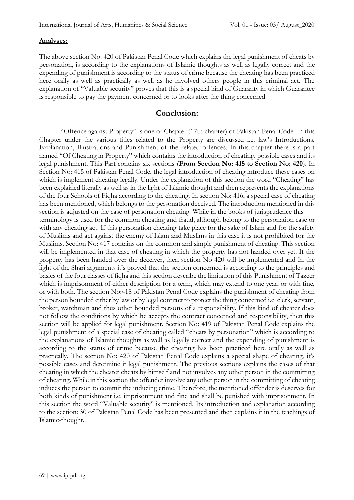#### **Analyses:**

The above section No: 420 of Pakistan Penal Code which explains the legal punishment of cheats by personation, is according to the explanations of Islamic thoughts as well as legally correct and the expending of punishment is according to the status of crime because the cheating has been practiced here orally as well as practically as well as he involved others people in this criminal act. The explanation of "Valuable security" proves that this is a special kind of Guaranty in which Guarantee is responsible to pay the payment concerned or to looks after the thing concerned.

# **Conclusion:**

"Offence against Property" is one of Chapter (17th chapter) of Pakistan Penal Code. In this Chapter under the various titles related to the Property are discussed i.e. law's Introductions, Explanation, Illustrations and Punishment of the related offences. In this chapter there is a part named "Of Cheating in Property" which contains the introduction of cheating, possible cases and its legal punishment. This Part contains six sections (**From Section No: 415 to Section No: 420**). In Section No: 415 of Pakistan Penal Code, the legal introduction of cheating introduce these cases on which is implement cheating legally. Under the explanation of this section the word "Cheating" has been explained literally as well as in the light of Islamic thought and then represents the explanations of the four Schools of Fiqha according to the cheating. In section No: 416, a special case of cheating has been mentioned, which belongs to the personation deceived. The introduction mentioned in this section is adjusted on the case of personation cheating. While in the books of jurisprudence this terminology is used for the common cheating and fraud, although belong to the personation case or with any cheating act. If this personation cheating take place for the sake of Islam and for the safety of Muslims and act against the enemy of Islam and Muslims in this case it is not prohibited for the Muslims. Section No: 417 contains on the common and simple punishment of cheating. This section will be implemented in that case of cheating in which the property has not handed over yet. If the property has been handed over the deceiver, then section No 420 will be implemented and In the light of the Shari arguments it's proved that the section concerned is according to the principles and basics of the four classes of fiqha and this section describe the limitation of this Punishment of Tazeer which is imprisonment of either description for a term, which may extend to one year, or with fine, or with both. The section No:418 of Pakistan Penal Code explains the punishment of cheating from the person bounded either by law or by legal contract to protect the thing concerned i.e. clerk, servant, broker, watchman and thus other bounded persons of a responsibility. If this kind of cheater does not follow the conditions by which he accepts the contract concerned and responsibility, then this section will be applied for legal punishment. Section No: 419 of Pakistan Penal Code explains the legal punishment of a special case of cheating called "cheats by personation" which is according to the explanations of Islamic thoughts as well as legally correct and the expending of punishment is according to the status of crime because the cheating has been practiced here orally as well as practically. The section No: 420 of Pakistan Penal Code explains a special shape of cheating, it's possible cases and determine it legal punishment. The previous sections explains the cases of that cheating in which the cheater cheats by himself and not involves any other person in the committing of cheating. While in this section the offender involve any other person in the committing of cheating induces the person to commit the inducing crime. Therefore, the mentioned offender is deserves for both kinds of punishment i.e. imprisonment and fine and shall be punished with imprisonment. In this section the word "Valuable security" is mentioned. Its introduction and explanation according to the section: 30 of Pakistan Penal Code has been presented and then explains it in the teachings of Islamic-thought.